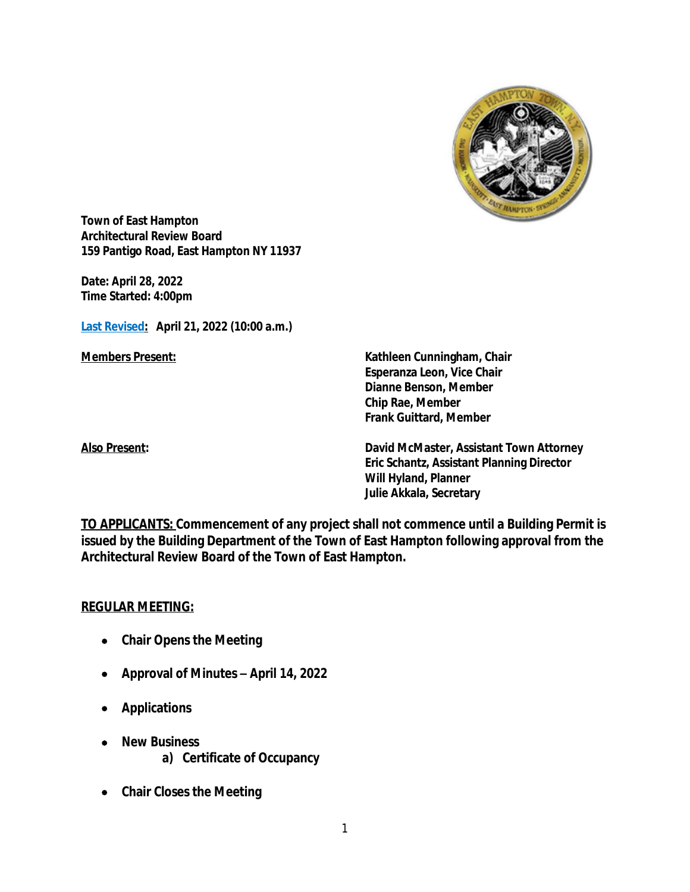

**Town of East Hampton Architectural Review Board 159 Pantigo Road, East Hampton NY 11937**

**Date:** *April 28, 2022* **Time Started: 4:00pm**

**Last Revised: April 21, 2022 (10:00 a.m.)**

**Members Present: Kathleen Cunningham, Chair Esperanza Leon, Vice Chair Dianne Benson, Member Chip Rae, Member Frank Guittard, Member**

**Also Present: David McMaster, Assistant Town Attorney Eric Schantz, Assistant Planning Director Will Hyland, Planner Julie Akkala, Secretary**

**TO APPLICANTS: Commencement of any project shall not commence until a Building Permit is issued by the Building Department of the Town of East Hampton following approval from the Architectural Review Board of the Town of East Hampton.**

#### **REGULAR MEETING:**

- **Chair Opens the Meeting**
- **Approval of Minutes –** *April 14, 2022*
- **Applications**
- **New Business a) Certificate of Occupancy**
- **Chair Closes the Meeting**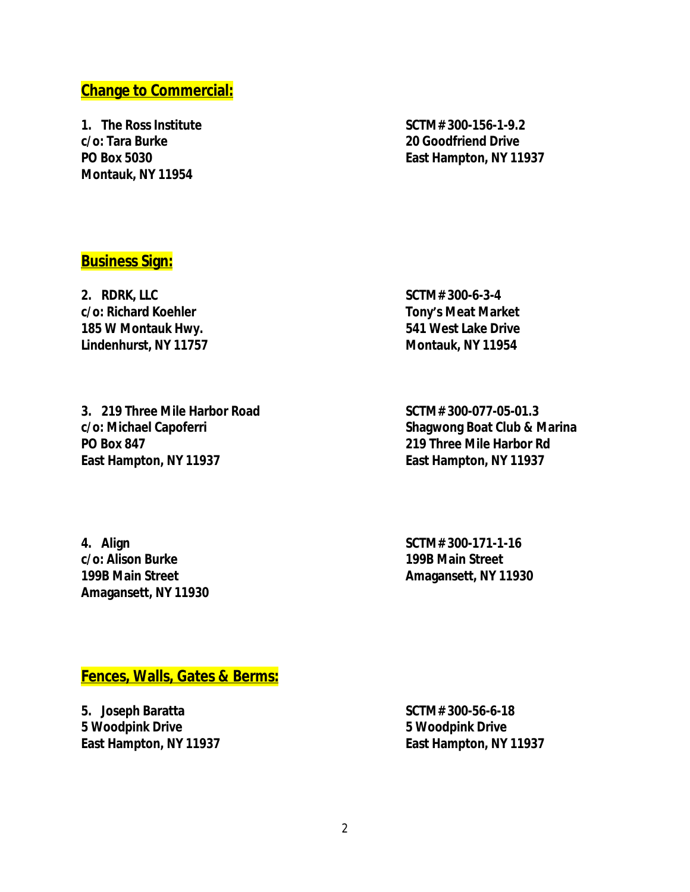# **Change to Commercial:**

**1. The Ross Institute SCTM# 300-156-1-9.2 c/o: Tara Burke 20 Goodfriend Drive Montauk, NY 11954**

**PO Box 5030 East Hampton, NY 11937**

## **Business Sign:**

**2. RDRK, LLC SCTM# 300-6-3-4 c/o: Richard Koehler Tony's Meat Market 185 W Montauk Hwy. 541 West Lake Drive Lindenhurst, NY 11757 Montauk, NY 11954**

**3. 219 Three Mile Harbor Road SCTM# 300-077-05-01.3 c/o: Michael Capoferri Shagwong Boat Club & Marina PO Box 847 219 Three Mile Harbor Rd East Hampton, NY 11937 East Hampton, NY 11937**

**4. Align SCTM# 300-171-1-16 c/o: Alison Burke 199B Main Street 199B Main Street Amagansett, NY 11930 Amagansett, NY 11930**

### **Fences, Walls, Gates & Berms:**

**5. Joseph Baratta SCTM# 300-56-6-18 5 Woodpink Drive 5 Woodpink Drive East Hampton, NY 11937 East Hampton, NY 11937**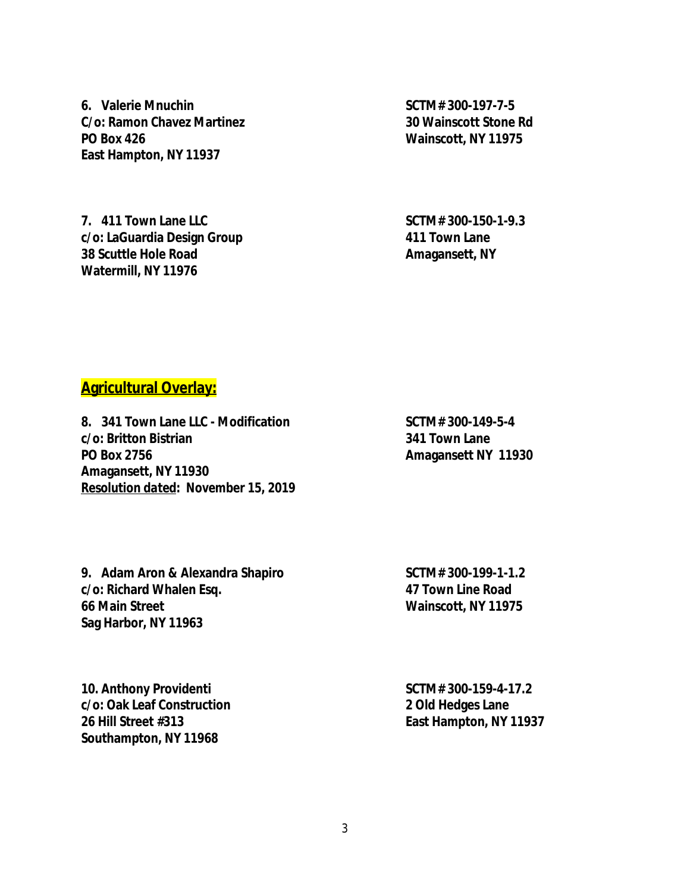**6. Valerie Mnuchin SCTM# 300-197-7-5 C/o: Ramon Chavez Martinez 30 Wainscott Stone Rd PO Box 426 Wainscott, NY 11975 East Hampton, NY 11937**

**7. 411 Town Lane LLC SCTM# 300-150-1-9.3 c/o: LaGuardia Design Group 411 Town Lane 38 Scuttle Hole Road Amagansett**, NY **Watermill, NY 11976**

## **Agricultural Overlay:**

**8. 341 Town Lane LLC - Modification SCTM# 300-149-5-4 c/o: Britton Bistrian 341 Town Lane PO Box 2756 Amagansett NY 11930 Amagansett, NY 11930** *Resolution dated***:** *November 15, 2019*

9. Adam Aron & Alexandra Shapiro SCTM# 300-199-1-1.2 **c/o: Richard Whalen Esq. 47 Town Line Road 66 Main Street Wainscott, NY 11975 Sag Harbor, NY 11963**

**10. Anthony Providenti SCTM# 300-159-4-17.2 c/o: Oak Leaf Construction 2 Old Hedges Lane 26 Hill Street #313 East Hampton, NY 11937 Southampton, NY 11968**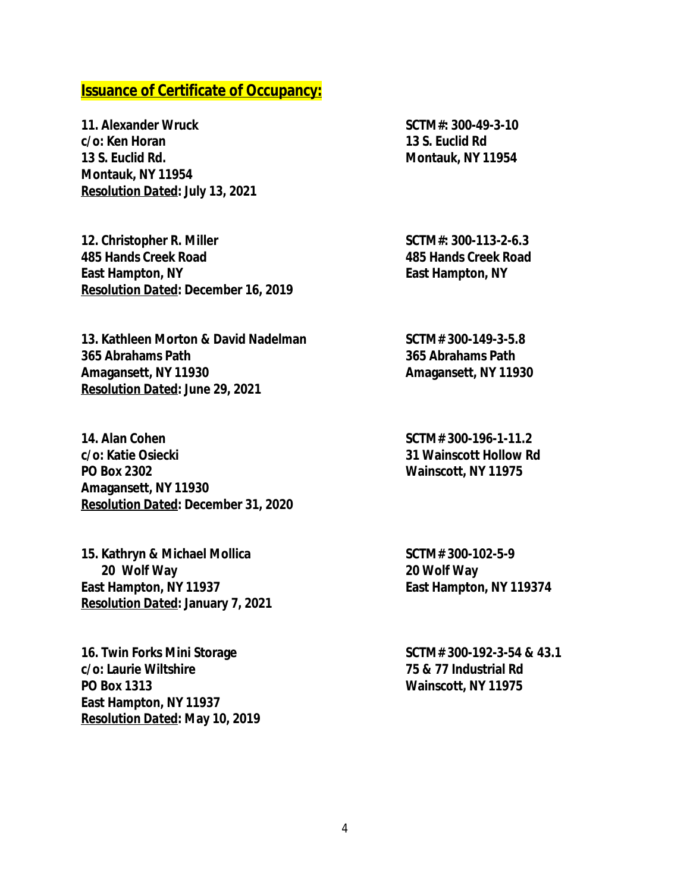#### **Issuance of Certificate of Occupancy:**

**11. Alexander Wruck SCTM#: 300-49-3-10 c/o: Ken Horan 13 S. Euclid Rd 13 S. Euclid Rd. Montauk, NY 11954 Montauk, NY 11954** *Resolution Dated***: July 13, 2021**

**12. Christopher R. Miller SCTM#: 300-113-2-6.3 485 Hands Creek Road 485 Hands Creek Road East Hampton, NY East Hampton, NY** *Resolution Dated***: December 16, 2019**

**13. Kathleen Morton & David Nadelman SCTM# 300-149-3-5.8 365 Abrahams Path 365 Abrahams Path Amagansett, NY 11930 Amagansett, NY 11930** *Resolution Dated***: June 29, 2021**

**14. Alan Cohen SCTM# 300-196-1-11.2 c/o: Katie Osiecki 31 Wainscott Hollow Rd PO Box 2302 Wainscott, NY 11975 Amagansett, NY 11930** *Resolution Dated***: December 31, 2020**

**15. Kathryn & Michael Mollica SCTM# 300-102-5-9 20 Wolf Way 20 Wolf Way East Hampton, NY 11937 East Hampton, NY 119374** *Resolution Dated***: January 7, 2021**

**16. Twin Forks Mini Storage SCTM# 300-192-3-54 & 43.1 c/o: Laurie Wiltshire 75 & 77 Industrial Rd PO Box 1313 Wainscott, NY 11975 East Hampton, NY 11937** *Resolution Dated***: May 10, 2019**